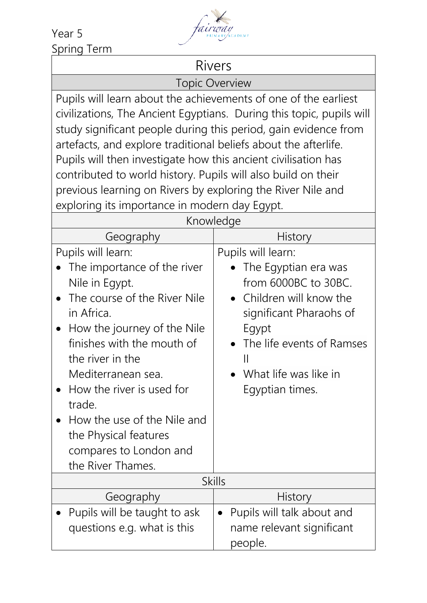Year 5 Spring Term



## Rivers

Topic Overview

Pupils will learn about the achievements of one of the earliest civilizations, The Ancient Egyptians. During this topic, pupils will study significant people during this period, gain evidence from artefacts, and explore traditional beliefs about the afterlife. Pupils will then investigate how this ancient civilisation has contributed to world history. Pupils will also build on their previous learning on Rivers by exploring the River Nile and exploring its importance in modern day Egypt.

| Knowledge                                                                                                                                                                                                                                                                                                                                                              |                                                                                                                                                                                                                                      |  |
|------------------------------------------------------------------------------------------------------------------------------------------------------------------------------------------------------------------------------------------------------------------------------------------------------------------------------------------------------------------------|--------------------------------------------------------------------------------------------------------------------------------------------------------------------------------------------------------------------------------------|--|
| Geography                                                                                                                                                                                                                                                                                                                                                              | <b>History</b>                                                                                                                                                                                                                       |  |
| Pupils will learn:<br>The importance of the river<br>Nile in Egypt.<br>The course of the River Nile<br>in Africa.<br>How the journey of the Nile<br>finishes with the mouth of<br>the river in the<br>Mediterranean sea.<br>How the river is used for<br>trade.<br>How the use of the Nile and<br>the Physical features<br>compares to London and<br>the River Thames. | Pupils will learn:<br>The Egyptian era was<br>from 6000BC to 30BC.<br>• Children will know the<br>significant Pharaohs of<br>Egypt<br>The life events of Ramses<br>$\mathbf{\mathsf{I}}$<br>What life was like in<br>Egyptian times. |  |
| <b>Skills</b>                                                                                                                                                                                                                                                                                                                                                          |                                                                                                                                                                                                                                      |  |
| Geography                                                                                                                                                                                                                                                                                                                                                              | History                                                                                                                                                                                                                              |  |
| Pupils will be taught to ask<br>questions e.g. what is this                                                                                                                                                                                                                                                                                                            | Pupils will talk about and<br>$\bullet$<br>name relevant significant<br>people.                                                                                                                                                      |  |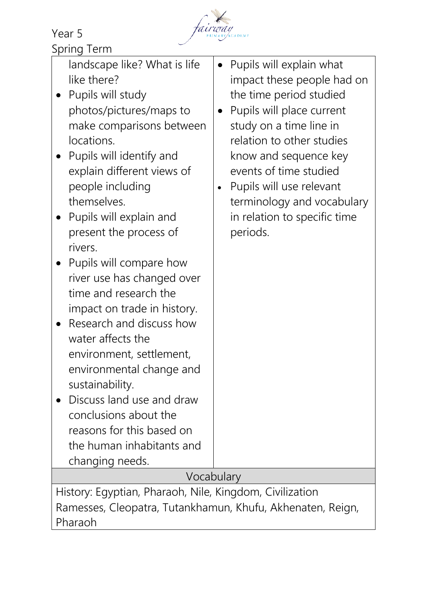Year 5



|  | Spring Term |
|--|-------------|
|  |             |

| landscape like? What is life<br>like there?<br>Pupils will study<br>photos/pictures/maps to<br>make comparisons between<br>locations.<br>• Pupils will identify and<br>explain different views of<br>people including<br>themselves.<br>Pupils will explain and<br>present the process of<br>rivers.<br>Pupils will compare how<br>river use has changed over<br>time and research the<br>impact on trade in history.<br>Research and discuss how<br>water affects the<br>environment, settlement,<br>environmental change and<br>sustainability.<br>Discuss land use and draw<br>conclusions about the<br>reasons for this based on<br>the human inhabitants and<br>changing needs. | Pupils will explain what<br>impact these people had on<br>the time period studied<br>Pupils will place current<br>study on a time line in<br>relation to other studies<br>know and sequence key<br>events of time studied<br>Pupils will use relevant<br>$\bullet$<br>terminology and vocabulary<br>in relation to specific time<br>periods. |  |  |
|--------------------------------------------------------------------------------------------------------------------------------------------------------------------------------------------------------------------------------------------------------------------------------------------------------------------------------------------------------------------------------------------------------------------------------------------------------------------------------------------------------------------------------------------------------------------------------------------------------------------------------------------------------------------------------------|----------------------------------------------------------------------------------------------------------------------------------------------------------------------------------------------------------------------------------------------------------------------------------------------------------------------------------------------|--|--|
| Vocabulary                                                                                                                                                                                                                                                                                                                                                                                                                                                                                                                                                                                                                                                                           |                                                                                                                                                                                                                                                                                                                                              |  |  |
| History: Egyptian, Pharaoh, Nile, Kingdom, Civilization<br>Ramesses, Cleopatra, Tutankhamun, Khufu, Akhenaten, Reign,                                                                                                                                                                                                                                                                                                                                                                                                                                                                                                                                                                |                                                                                                                                                                                                                                                                                                                                              |  |  |

Pharaoh